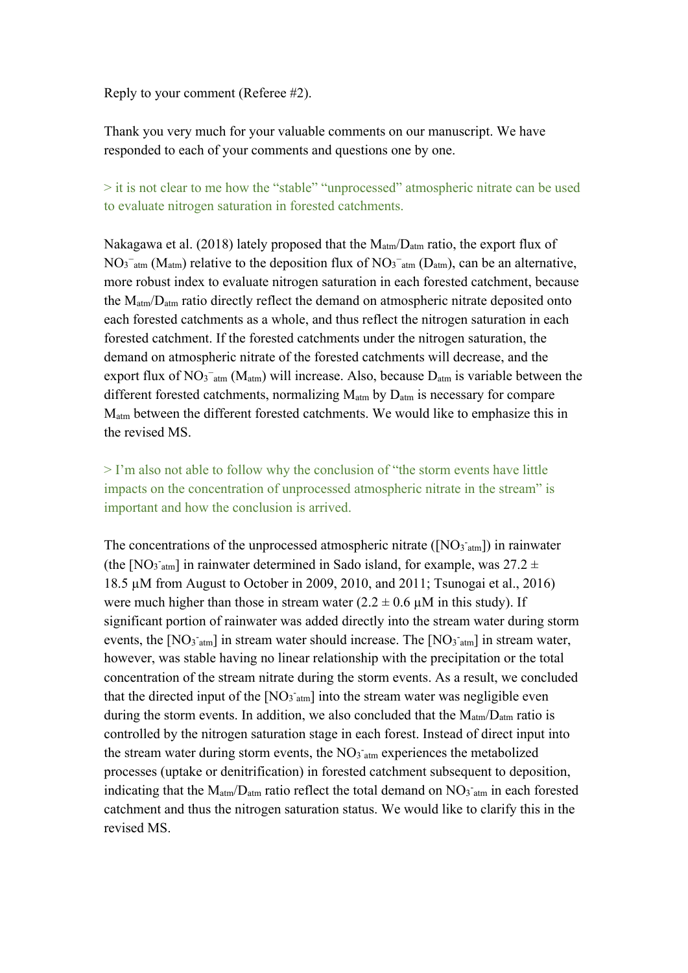Reply to your comment (Referee #2).

Thank you very much for your valuable comments on our manuscript. We have responded to each of your comments and questions one by one.

> it is not clear to me how the "stable" "unprocessed" atmospheric nitrate can be used to evaluate nitrogen saturation in forested catchments.

Nakagawa et al. (2018) lately proposed that the  $M_{\text{atm}}/D_{\text{atm}}$  ratio, the export flux of  $NO<sub>3</sub><sup>-</sup>_{atm} (M<sub>atm</sub>)$  relative to the deposition flux of  $NO<sub>3</sub><sup>-</sup>_{atm} (D<sub>atm</sub>)$ , can be an alternative, more robust index to evaluate nitrogen saturation in each forested catchment, because the  $M_{atm}/D_{atm}$  ratio directly reflect the demand on atmospheric nitrate deposited onto each forested catchments as a whole, and thus reflect the nitrogen saturation in each forested catchment. If the forested catchments under the nitrogen saturation, the demand on atmospheric nitrate of the forested catchments will decrease, and the export flux of  $NO_3^-$ <sub>atm</sub> (M<sub>atm</sub>) will increase. Also, because  $D_{atm}$  is variable between the different forested catchments, normalizing  $M_{\text{atm}}$  by  $D_{\text{atm}}$  is necessary for compare Matm between the different forested catchments. We would like to emphasize this in the revised MS.

> I'm also not able to follow why the conclusion of "the storm events have little impacts on the concentration of unprocessed atmospheric nitrate in the stream" is important and how the conclusion is arrived.

The concentrations of the unprocessed atmospheric nitrate  $([NO<sub>3</sub>]<sub>atm</sub>])$  in rainwater (the [NO<sub>3 atm</sub>] in rainwater determined in Sado island, for example, was  $27.2 \pm$ 18.5 µM from August to October in 2009, 2010, and 2011; Tsunogai et al., 2016) were much higher than those in stream water  $(2.2 \pm 0.6 \,\mu\text{M})$  in this study). If significant portion of rainwater was added directly into the stream water during storm events, the [NO<sub>3</sub><sup>-atm</sup>] in stream water should increase. The [NO<sub>3</sub><sup>-atm</sup>] in stream water, however, was stable having no linear relationship with the precipitation or the total concentration of the stream nitrate during the storm events. As a result, we concluded that the directed input of the  $[NO<sub>3 atm</sub>]$  into the stream water was negligible even during the storm events. In addition, we also concluded that the  $M_{atm}/D_{atm}$  ratio is controlled by the nitrogen saturation stage in each forest. Instead of direct input into the stream water during storm events, the  $NO<sub>3 atm</sub>$  experiences the metabolized processes (uptake or denitrification) in forested catchment subsequent to deposition, indicating that the  $M_{atm}/D_{atm}$  ratio reflect the total demand on  $NO_3$ <sup>-</sup><sub>atm</sub> in each forested catchment and thus the nitrogen saturation status. We would like to clarify this in the revised MS.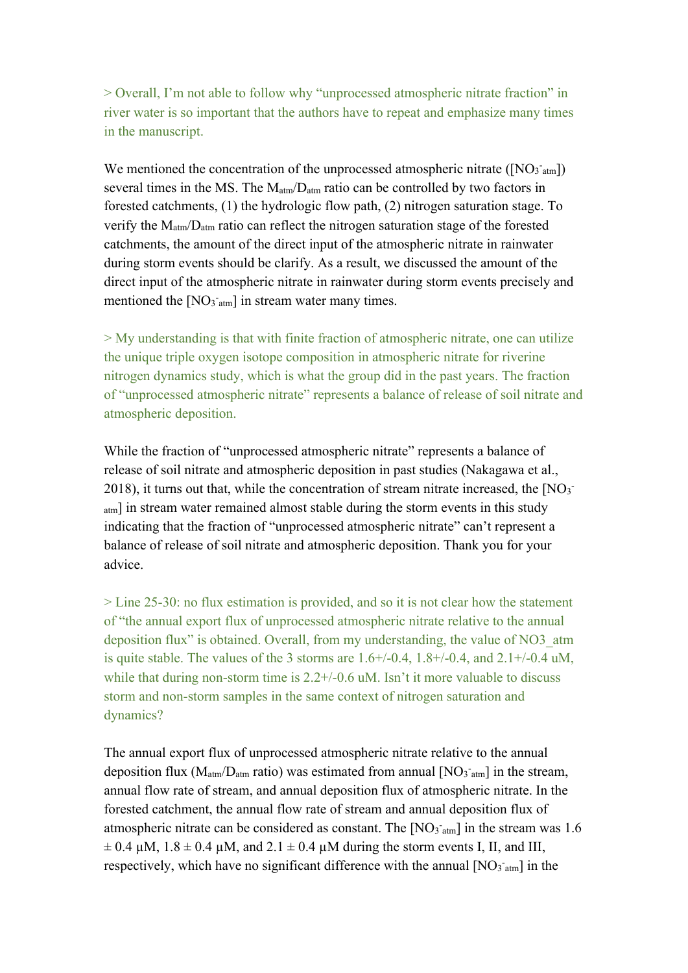> Overall, I'm not able to follow why "unprocessed atmospheric nitrate fraction" in river water is so important that the authors have to repeat and emphasize many times in the manuscript.

We mentioned the concentration of the unprocessed atmospheric nitrate  $([NO<sub>3</sub>]<sub>atm</sub>]$ several times in the MS. The  $M_{atm}/D_{atm}$  ratio can be controlled by two factors in forested catchments, (1) the hydrologic flow path, (2) nitrogen saturation stage. To verify the Matm/Datm ratio can reflect the nitrogen saturation stage of the forested catchments, the amount of the direct input of the atmospheric nitrate in rainwater during storm events should be clarify. As a result, we discussed the amount of the direct input of the atmospheric nitrate in rainwater during storm events precisely and mentioned the  $[NO<sub>3</sub>]<sub>atm</sub>]$  in stream water many times.

> My understanding is that with finite fraction of atmospheric nitrate, one can utilize the unique triple oxygen isotope composition in atmospheric nitrate for riverine nitrogen dynamics study, which is what the group did in the past years. The fraction of "unprocessed atmospheric nitrate" represents a balance of release of soil nitrate and atmospheric deposition.

While the fraction of "unprocessed atmospheric nitrate" represents a balance of release of soil nitrate and atmospheric deposition in past studies (Nakagawa et al., 2018), it turns out that, while the concentration of stream nitrate increased, the  $[NO<sub>3</sub>]$ atm] in stream water remained almost stable during the storm events in this study indicating that the fraction of "unprocessed atmospheric nitrate" can't represent a balance of release of soil nitrate and atmospheric deposition. Thank you for your advice.

> Line 25-30: no flux estimation is provided, and so it is not clear how the statement of "the annual export flux of unprocessed atmospheric nitrate relative to the annual deposition flux" is obtained. Overall, from my understanding, the value of NO3\_atm is quite stable. The values of the 3 storms are  $1.6+/0.4$ ,  $1.8+/0.4$ , and  $2.1+/0.4$  uM, while that during non-storm time is  $2.2+/0.6$  uM. Isn't it more valuable to discuss storm and non-storm samples in the same context of nitrogen saturation and dynamics?

The annual export flux of unprocessed atmospheric nitrate relative to the annual deposition flux ( $M_{atm}/D_{atm}$  ratio) was estimated from annual [NO<sub>3</sub><sup>-</sup> $_{atm}$ ] in the stream, annual flow rate of stream, and annual deposition flux of atmospheric nitrate. In the forested catchment, the annual flow rate of stream and annual deposition flux of atmospheric nitrate can be considered as constant. The  $[NO<sub>3</sub>^-<sub>atm</sub>]$  in the stream was 1.6  $\pm$  0.4  $\mu$ M, 1.8  $\pm$  0.4  $\mu$ M, and 2.1  $\pm$  0.4  $\mu$ M during the storm events I, II, and III, respectively, which have no significant difference with the annual  $[NO<sub>3</sub>]<sub>atm</sub>]$  in the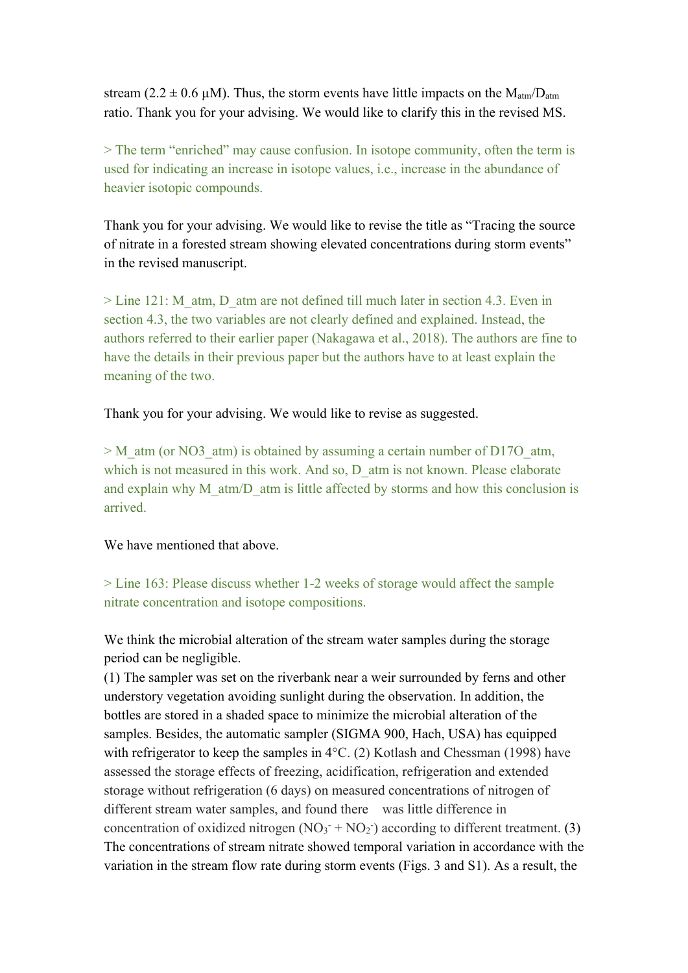stream (2.2  $\pm$  0.6 µM). Thus, the storm events have little impacts on the  $M_{atm}/D_{atm}$ ratio. Thank you for your advising. We would like to clarify this in the revised MS.

> The term "enriched" may cause confusion. In isotope community, often the term is used for indicating an increase in isotope values, i.e., increase in the abundance of heavier isotopic compounds.

Thank you for your advising. We would like to revise the title as "Tracing the source of nitrate in a forested stream showing elevated concentrations during storm events" in the revised manuscript.

> Line 121: M\_atm, D\_atm are not defined till much later in section 4.3. Even in section 4.3, the two variables are not clearly defined and explained. Instead, the authors referred to their earlier paper (Nakagawa et al., 2018). The authors are fine to have the details in their previous paper but the authors have to at least explain the meaning of the two.

Thank you for your advising. We would like to revise as suggested.

> M\_atm (or NO3\_atm) is obtained by assuming a certain number of D17O\_atm, which is not measured in this work. And so, D\_atm is not known. Please elaborate and explain why M\_atm/D\_atm is little affected by storms and how this conclusion is arrived.

We have mentioned that above.

> Line 163: Please discuss whether 1-2 weeks of storage would affect the sample nitrate concentration and isotope compositions.

We think the microbial alteration of the stream water samples during the storage period can be negligible.

(1) The sampler was set on the riverbank near a weir surrounded by ferns and other understory vegetation avoiding sunlight during the observation. In addition, the bottles are stored in a shaded space to minimize the microbial alteration of the samples. Besides, the automatic sampler (SIGMA 900, Hach, USA) has equipped with refrigerator to keep the samples in 4°C. (2) Kotlash and Chessman (1998) have assessed the storage effects of freezing, acidification, refrigeration and extended storage without refrigeration (6 days) on measured concentrations of nitrogen of different stream water samples, and found there was little difference in concentration of oxidized nitrogen  $(NO<sub>3</sub><sup>-</sup> + NO<sub>2</sub><sup>-</sup>)$  according to different treatment. (3) The concentrations of stream nitrate showed temporal variation in accordance with the variation in the stream flow rate during storm events (Figs. 3 and S1). As a result, the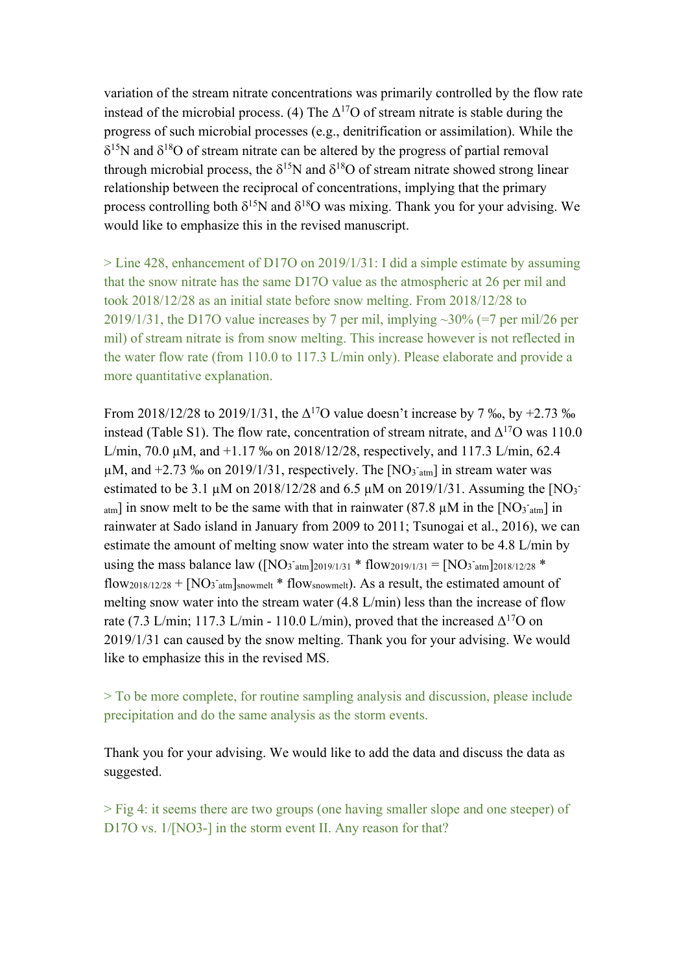variation of the stream nitrate concentrations was primarily controlled by the flow rate instead of the microbial process. (4) The  $\Delta^{17}$ O of stream nitrate is stable during the progress of such microbial processes (e.g., denitrification or assimilation). While the  $\delta^{15}$ N and  $\delta^{18}$ O of stream nitrate can be altered by the progress of partial removal through microbial process, the  $\delta^{15}N$  and  $\delta^{18}O$  of stream nitrate showed strong linear relationship between the reciprocal of concentrations, implying that the primary process controlling both  $\delta^{15}N$  and  $\delta^{18}O$  was mixing. Thank you for your advising. We would like to emphasize this in the revised manuscript.

> Line 428, enhancement of D17O on 2019/1/31: I did a simple estimate by assuming that the snow nitrate has the same D17O value as the atmospheric at 26 per mil and took 2018/12/28 as an initial state before snow melting. From 2018/12/28 to 2019/1/31, the D17O value increases by 7 per mil, implying  $\sim$ 30% (=7 per mil/26 per mil) of stream nitrate is from snow melting. This increase however is not reflected in the water flow rate (from 110.0 to 117.3 L/min only). Please elaborate and provide a more quantitative explanation.

From 2018/12/28 to 2019/1/31, the  $\Delta^{17}$ O value doesn't increase by 7 ‰, by +2.73 ‰ instead (Table S1). The flow rate, concentration of stream nitrate, and  $\Delta^{17}O$  was 110.0 L/min, 70.0 µM, and +1.17 ‰ on 2018/12/28, respectively, and 117.3 L/min, 62.4  $\mu$ M, and +2.73 ‰ on 2019/1/31, respectively. The [NO<sub>3</sub><sup>-atm</sup>] in stream water was estimated to be 3.1  $\mu$ M on 2018/12/28 and 6.5  $\mu$ M on 2019/1/31. Assuming the [NO<sub>3</sub>]  $_{\text{atm}}$ ] in snow melt to be the same with that in rainwater (87.8  $\mu$ M in the [NO<sub>3</sub><sup>-</sup>atm] in rainwater at Sado island in January from 2009 to 2011; Tsunogai et al., 2016), we can estimate the amount of melting snow water into the stream water to be 4.8 L/min by using the mass balance law ([NO<sub>3</sub><sup>-atm</sup>]2019/1/31<sup>\*</sup> flow<sub>2019/1/31</sub> = [NO<sub>3</sub><sup>-</sup>atm]2018/12/28<sup>\*</sup> flow<sub>2018/12/28</sub> + [NO<sub>3</sub><sup>-</sup>atm]snowmelt \* flow<sub>snowmelt</sub>). As a result, the estimated amount of melting snow water into the stream water (4.8 L/min) less than the increase of flow rate (7.3 L/min; 117.3 L/min - 110.0 L/min), proved that the increased  $\Delta^{17}O$  on 2019/1/31 can caused by the snow melting. Thank you for your advising. We would like to emphasize this in the revised MS.

> To be more complete, for routine sampling analysis and discussion, please include precipitation and do the same analysis as the storm events.

Thank you for your advising. We would like to add the data and discuss the data as suggested.

> Fig 4: it seems there are two groups (one having smaller slope and one steeper) of D17O vs.  $1/[NO3-]$  in the storm event II. Any reason for that?